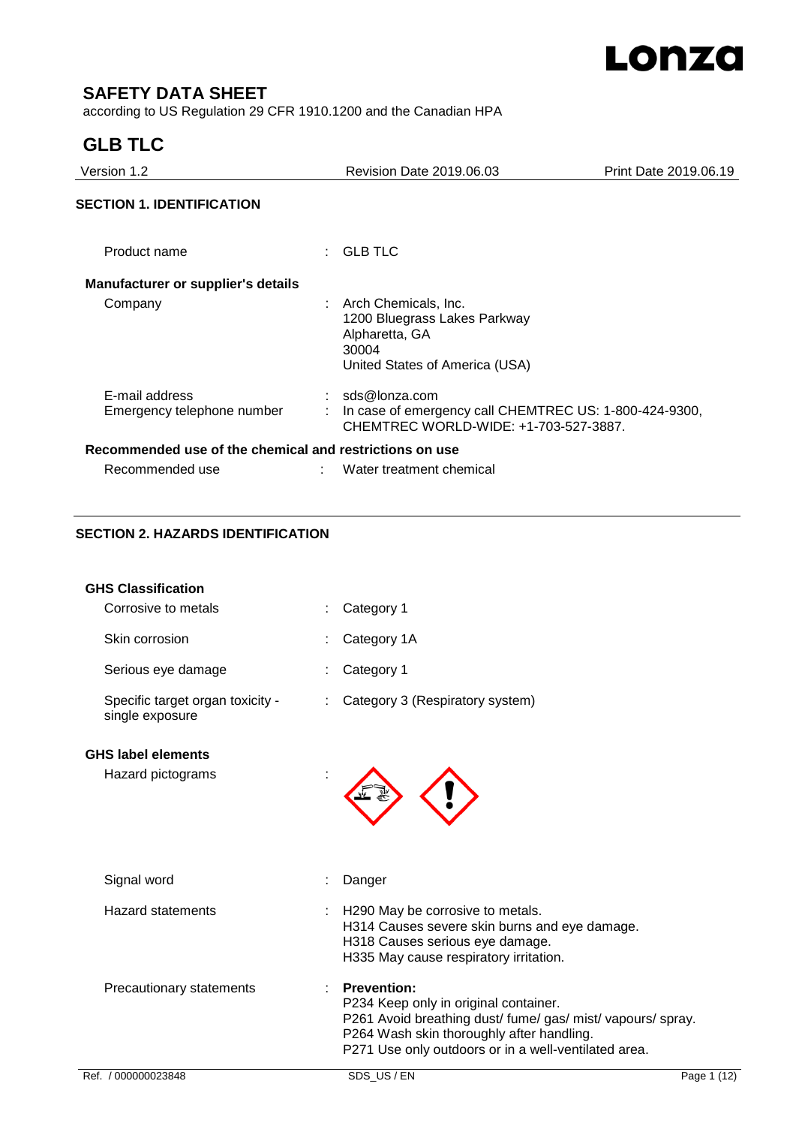

# **SAFETY DATA SHEET**

according to US Regulation 29 CFR 1910.1200 and the Canadian HPA

# **GLB TLC**

| Version 1.2                                             | <b>Revision Date 2019.06.03</b>                                                                                   | Print Date 2019.06.19 |
|---------------------------------------------------------|-------------------------------------------------------------------------------------------------------------------|-----------------------|
| <b>SECTION 1. IDENTIFICATION</b>                        |                                                                                                                   |                       |
| Product name                                            | $\colon$ GLB TLC                                                                                                  |                       |
| <b>Manufacturer or supplier's details</b>               |                                                                                                                   |                       |
| Company                                                 | Arch Chemicals, Inc.<br>1200 Bluegrass Lakes Parkway<br>Alpharetta, GA<br>30004<br>United States of America (USA) |                       |
| E-mail address<br>Emergency telephone number            | sds@lonza.com<br>In case of emergency call CHEMTREC US: 1-800-424-9300,<br>CHEMTREC WORLD-WIDE: +1-703-527-3887.  |                       |
| Recommended use of the chemical and restrictions on use |                                                                                                                   |                       |
| Recommended use                                         | Water treatment chemical                                                                                          |                       |

# **SECTION 2. HAZARDS IDENTIFICATION**

| <b>GHS Classification</b>                           |                                                                                                                                                                                                                                 |
|-----------------------------------------------------|---------------------------------------------------------------------------------------------------------------------------------------------------------------------------------------------------------------------------------|
| Corrosive to metals                                 | Category 1                                                                                                                                                                                                                      |
| Skin corrosion                                      | Category 1A                                                                                                                                                                                                                     |
| Serious eye damage                                  | Category 1                                                                                                                                                                                                                      |
| Specific target organ toxicity -<br>single exposure | Category 3 (Respiratory system)                                                                                                                                                                                                 |
| <b>GHS label elements</b>                           |                                                                                                                                                                                                                                 |
| Hazard pictograms                                   |                                                                                                                                                                                                                                 |
| Signal word                                         | Danger                                                                                                                                                                                                                          |
| <b>Hazard statements</b>                            | H290 May be corrosive to metals.<br>H314 Causes severe skin burns and eye damage.<br>H318 Causes serious eye damage.<br>H335 May cause respiratory irritation.                                                                  |
| Precautionary statements                            | <b>Prevention:</b><br>P234 Keep only in original container.<br>P261 Avoid breathing dust/ fume/ gas/ mist/ vapours/ spray.<br>P264 Wash skin thoroughly after handling.<br>P271 Use only outdoors or in a well-ventilated area. |
| Ref. / 000000023848                                 | SDS US/EN<br>Page 1 (12)                                                                                                                                                                                                        |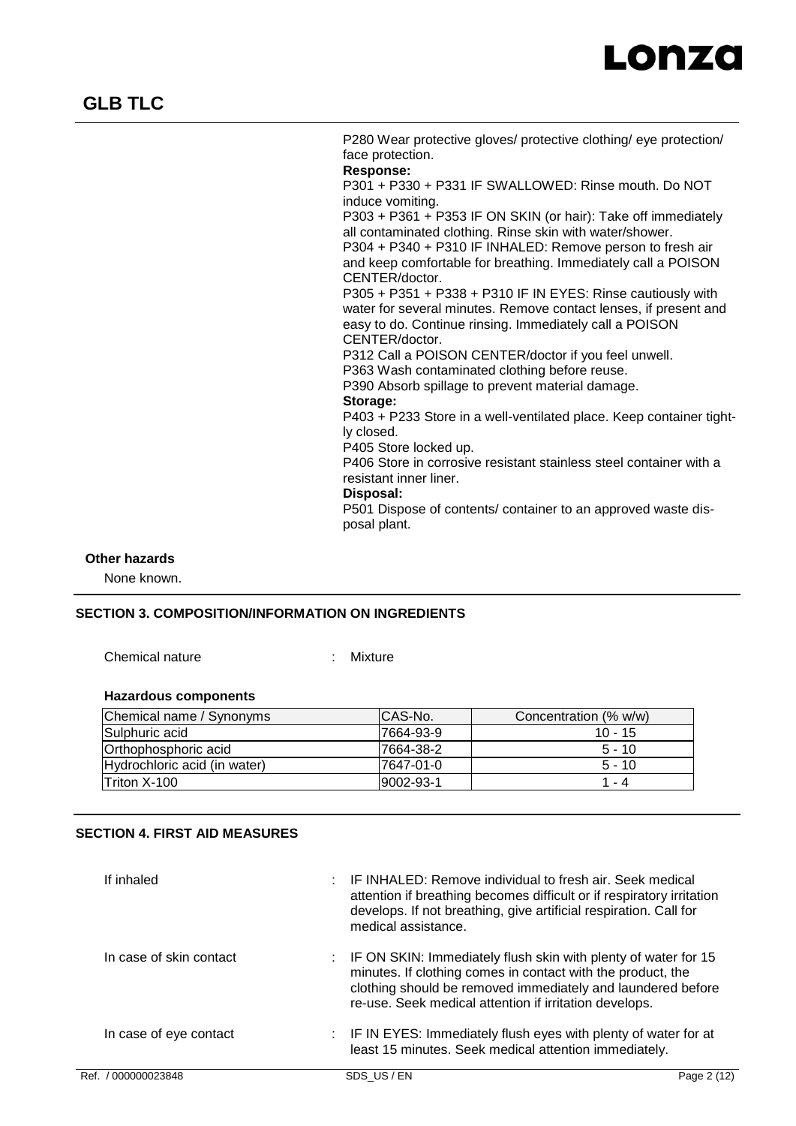

P280 Wear protective gloves/ protective clothing/ eye protection/ face protection. **Response:** 

P301 + P330 + P331 IF SWALLOWED: Rinse mouth. Do NOT induce vomiting.

P303 + P361 + P353 IF ON SKIN (or hair): Take off immediately all contaminated clothing. Rinse skin with water/shower. P304 + P340 + P310 IF INHALED: Remove person to fresh air

and keep comfortable for breathing. Immediately call a POISON CENTER/doctor.

P305 + P351 + P338 + P310 IF IN EYES: Rinse cautiously with water for several minutes. Remove contact lenses, if present and easy to do. Continue rinsing. Immediately call a POISON CENTER/doctor.

P312 Call a POISON CENTER/doctor if you feel unwell. P363 Wash contaminated clothing before reuse.

P390 Absorb spillage to prevent material damage.

#### **Storage:**

P403 + P233 Store in a well-ventilated place. Keep container tightly closed.

P405 Store locked up.

P406 Store in corrosive resistant stainless steel container with a resistant inner liner.

# **Disposal:**

P501 Dispose of contents/ container to an approved waste disposal plant.

## **Other hazards**

None known.

## **SECTION 3. COMPOSITION/INFORMATION ON INGREDIENTS**

Chemical nature : Mixture

# **Hazardous components**

| Chemical name / Synonyms     | ICAS-No.         | Concentration (% w/w) |
|------------------------------|------------------|-----------------------|
| <b>Sulphuric acid</b>        | 7664-93-9        | $10 - 15$             |
| Orthophosphoric acid         | 7664-38-2        | $5 - 10$              |
| Hydrochloric acid (in water) | 7647-01-0        | $5 - 10$              |
| <b>Triton X-100</b>          | $19002 - 93 - 1$ | $1 - 4$               |

# **SECTION 4. FIRST AID MEASURES**

| If inhaled              | IF INHALED: Remove individual to fresh air. Seek medical<br>attention if breathing becomes difficult or if respiratory irritation<br>develops. If not breathing, give artificial respiration. Call for<br>medical assistance.                            |             |
|-------------------------|----------------------------------------------------------------------------------------------------------------------------------------------------------------------------------------------------------------------------------------------------------|-------------|
| In case of skin contact | : IF ON SKIN: Immediately flush skin with plenty of water for 15<br>minutes. If clothing comes in contact with the product, the<br>clothing should be removed immediately and laundered before<br>re-use. Seek medical attention if irritation develops. |             |
| In case of eye contact  | : IF IN EYES: Immediately flush eyes with plenty of water for at<br>least 15 minutes. Seek medical attention immediately.                                                                                                                                |             |
| Ref. / 000000023848     | SDS US/EN                                                                                                                                                                                                                                                | Page 2 (12) |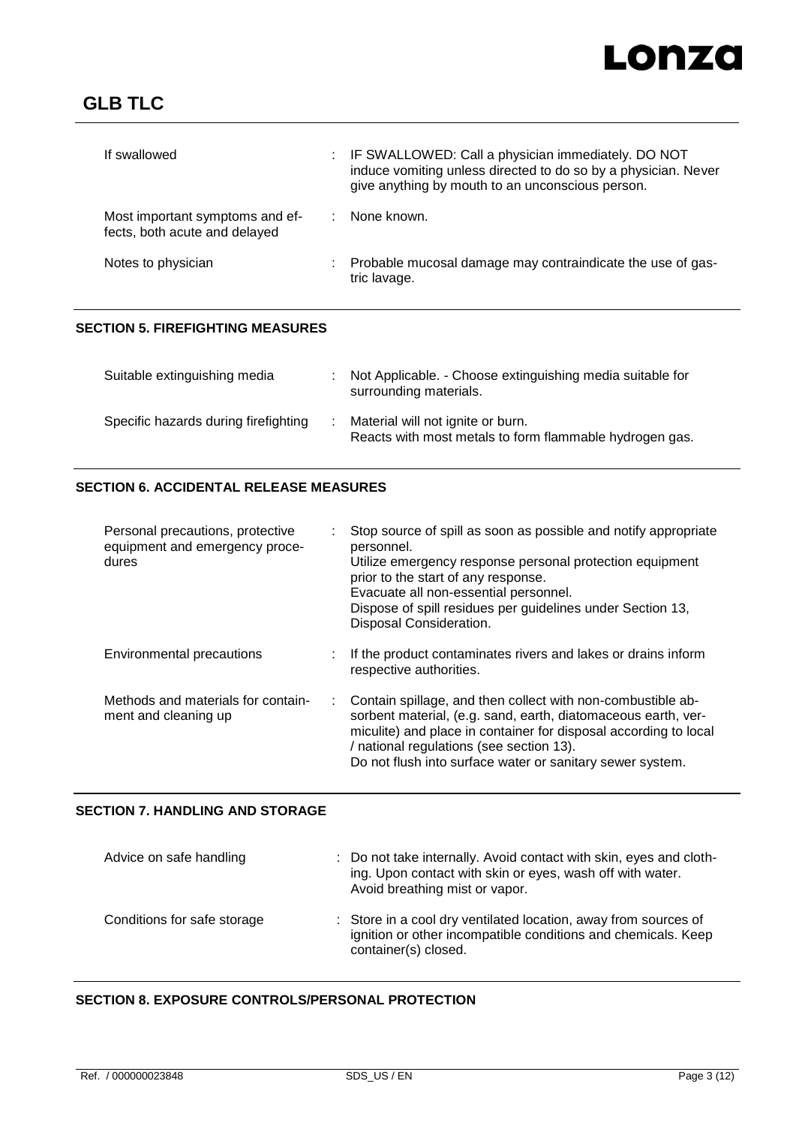# Lonza

| If swallowed                                                     | ÷. | IF SWALLOWED: Call a physician immediately. DO NOT<br>induce vomiting unless directed to do so by a physician. Never<br>give anything by mouth to an unconscious person. |
|------------------------------------------------------------------|----|--------------------------------------------------------------------------------------------------------------------------------------------------------------------------|
| Most important symptoms and ef-<br>fects, both acute and delayed |    | None known.                                                                                                                                                              |
| Notes to physician                                               |    | Probable mucosal damage may contraindicate the use of gas-<br>tric lavage.                                                                                               |

# **SECTION 5. FIREFIGHTING MEASURES**

| Suitable extinguishing media         | : Not Applicable. - Choose extinguishing media suitable for<br>surrounding materials.        |
|--------------------------------------|----------------------------------------------------------------------------------------------|
| Specific hazards during firefighting | Material will not ignite or burn.<br>Reacts with most metals to form flammable hydrogen gas. |

# **SECTION 6. ACCIDENTAL RELEASE MEASURES**

| Personal precautions, protective<br>equipment and emergency proce-<br>dures |    | Stop source of spill as soon as possible and notify appropriate<br>personnel.<br>Utilize emergency response personal protection equipment<br>prior to the start of any response.<br>Evacuate all non-essential personnel.<br>Dispose of spill residues per guidelines under Section 13,<br>Disposal Consideration. |
|-----------------------------------------------------------------------------|----|--------------------------------------------------------------------------------------------------------------------------------------------------------------------------------------------------------------------------------------------------------------------------------------------------------------------|
| Environmental precautions                                                   |    | If the product contaminates rivers and lakes or drains inform<br>respective authorities.                                                                                                                                                                                                                           |
| Methods and materials for contain-<br>ment and cleaning up                  | ÷. | Contain spillage, and then collect with non-combustible ab-<br>sorbent material, (e.g. sand, earth, diatomaceous earth, ver-<br>miculite) and place in container for disposal according to local<br>/ national regulations (see section 13).<br>Do not flush into surface water or sanitary sewer system.          |

# **SECTION 7. HANDLING AND STORAGE**

| Advice on safe handling     | : Do not take internally. Avoid contact with skin, eyes and cloth-<br>ing. Upon contact with skin or eyes, wash off with water.<br>Avoid breathing mist or vapor. |
|-----------------------------|-------------------------------------------------------------------------------------------------------------------------------------------------------------------|
| Conditions for safe storage | : Store in a cool dry ventilated location, away from sources of<br>ignition or other incompatible conditions and chemicals. Keep<br>container(s) closed.          |

# **SECTION 8. EXPOSURE CONTROLS/PERSONAL PROTECTION**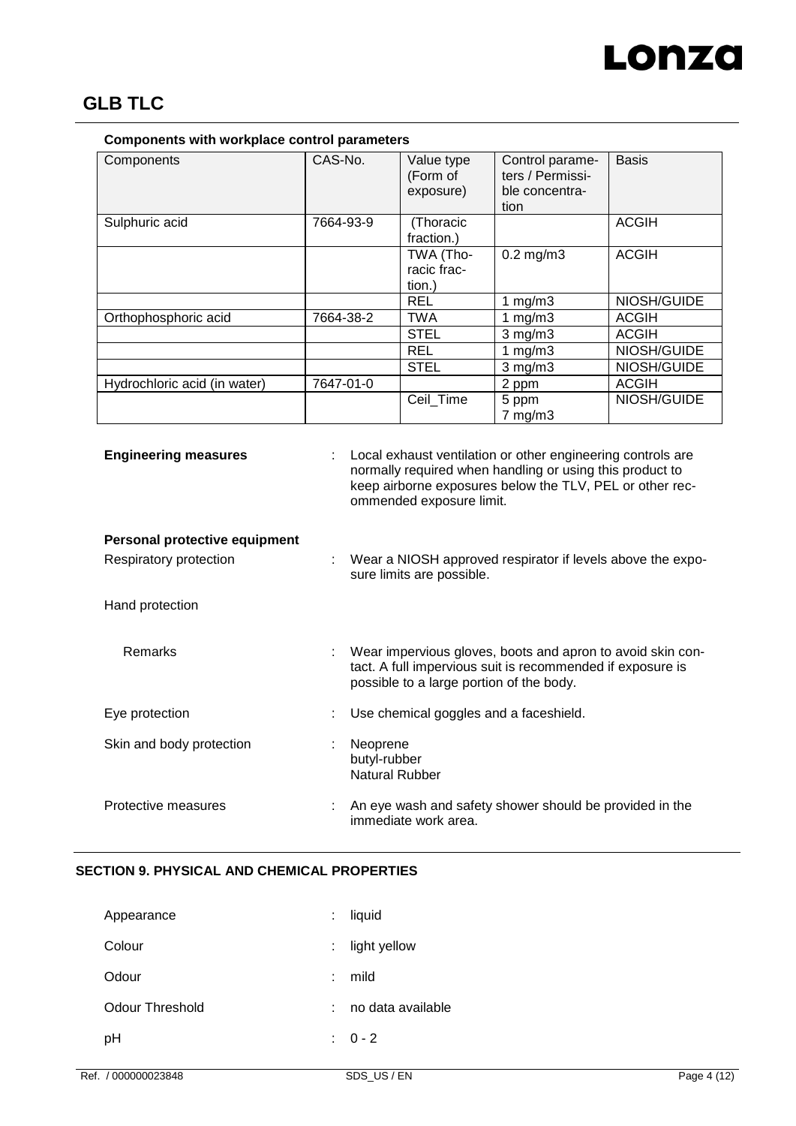

| Components with workplace control parameters |           |                                     |                                                               |              |  |
|----------------------------------------------|-----------|-------------------------------------|---------------------------------------------------------------|--------------|--|
| Components                                   | CAS-No.   | Value type<br>(Form of<br>exposure) | Control parame-<br>ters / Permissi-<br>ble concentra-<br>tion | <b>Basis</b> |  |
| Sulphuric acid                               | 7664-93-9 | (Thoracic<br>fraction.)             |                                                               | <b>ACGIH</b> |  |
|                                              |           | TWA (Tho-<br>racic frac-<br>tion.)  | $0.2$ mg/m $3$                                                | <b>ACGIH</b> |  |
|                                              |           | <b>REL</b>                          | 1 $mg/m3$                                                     | NIOSH/GUIDE  |  |
| Orthophosphoric acid                         | 7664-38-2 | TWA                                 | 1 $mg/m3$                                                     | ACGIH        |  |
|                                              |           | <b>STEL</b>                         | $3$ mg/m $3$                                                  | <b>ACGIH</b> |  |
|                                              |           | <b>REL</b>                          | 1 $mg/m3$                                                     | NIOSH/GUIDE  |  |
|                                              |           | <b>STEL</b>                         | $3$ mg/m $3$                                                  | NIOSH/GUIDE  |  |
| Hydrochloric acid (in water)                 | 7647-01-0 |                                     | 2 ppm                                                         | <b>ACGIH</b> |  |
|                                              |           | Ceil Time                           | 5 ppm<br>$7$ mg/m $3$                                         | NIOSH/GUIDE  |  |

**Engineering measures** : Local exhaust ventilation or other engineering controls are normally required when handling or using this product to keep airborne exposures below the TLV, PEL or other recommended exposure limit.

# **Personal protective equipment**

Respiratory protection : Wear a NIOSH approved respirator if levels above the exposure limits are possible.

Hand protection

| <b>Remarks</b>           | Wear impervious gloves, boots and apron to avoid skin con-<br>÷<br>tact. A full impervious suit is recommended if exposure is<br>possible to a large portion of the body. |
|--------------------------|---------------------------------------------------------------------------------------------------------------------------------------------------------------------------|
| Eye protection           | Use chemical goggles and a faceshield.                                                                                                                                    |
| Skin and body protection | Neoprene<br>butyl-rubber<br>Natural Rubber                                                                                                                                |
| Protective measures      | An eye wash and safety shower should be provided in the<br>immediate work area.                                                                                           |

# **SECTION 9. PHYSICAL AND CHEMICAL PROPERTIES**

| Appearance      | ÷  | liquid            |
|-----------------|----|-------------------|
| Colour          | ÷  | light yellow      |
| Odour           | ÷  | mild              |
| Odour Threshold | ÷. | no data available |
| рH              |    | $: 0 - 2$         |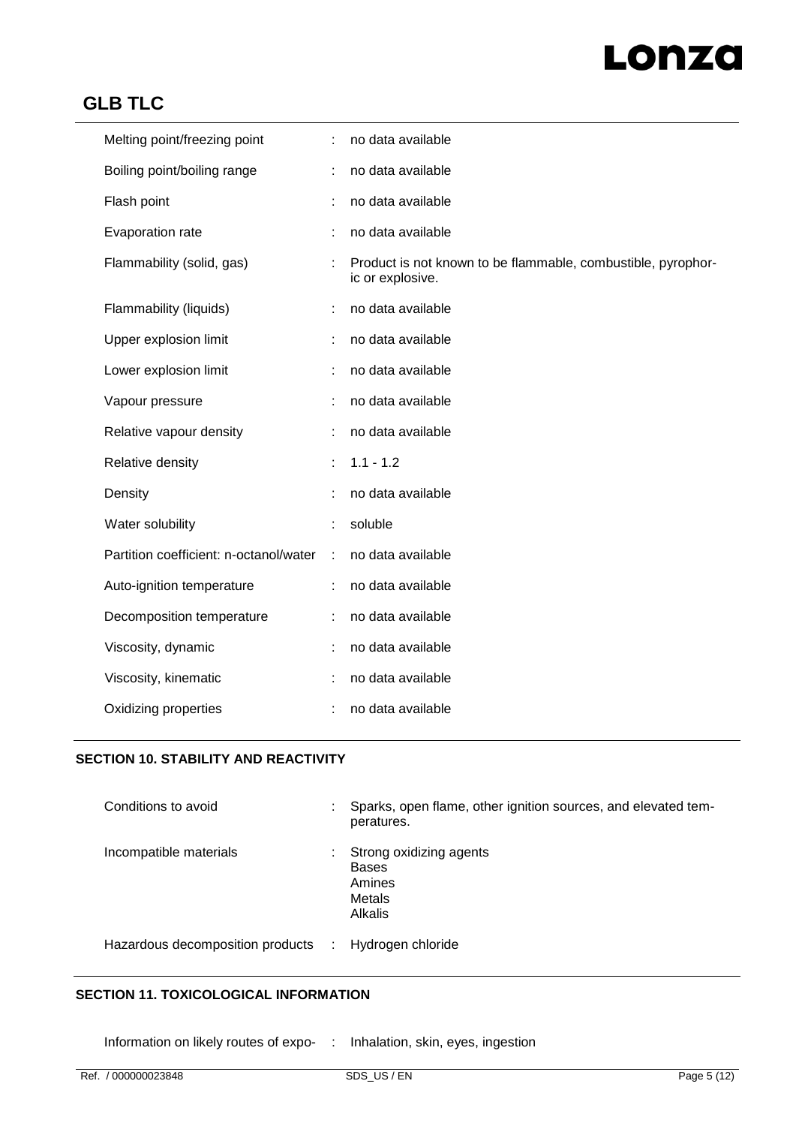# Lonza

# **GLB TLC**

| Melting point/freezing point           |               | no data available                                                                |
|----------------------------------------|---------------|----------------------------------------------------------------------------------|
| Boiling point/boiling range            |               | no data available                                                                |
| Flash point                            |               | no data available                                                                |
| Evaporation rate                       |               | no data available                                                                |
| Flammability (solid, gas)              |               | Product is not known to be flammable, combustible, pyrophor-<br>ic or explosive. |
| Flammability (liquids)                 |               | no data available                                                                |
| Upper explosion limit                  |               | no data available                                                                |
| Lower explosion limit                  |               | no data available                                                                |
| Vapour pressure                        |               | no data available                                                                |
| Relative vapour density                |               | no data available                                                                |
| Relative density                       |               | $1.1 - 1.2$                                                                      |
| Density                                |               | no data available                                                                |
| Water solubility                       |               | soluble                                                                          |
| Partition coefficient: n-octanol/water | $\mathcal{L}$ | no data available                                                                |
| Auto-ignition temperature              | ÷.            | no data available                                                                |
| Decomposition temperature              |               | no data available                                                                |
| Viscosity, dynamic                     |               | no data available                                                                |
| Viscosity, kinematic                   |               | no data available                                                                |
| Oxidizing properties                   |               | no data available                                                                |

# **SECTION 10. STABILITY AND REACTIVITY**

| Conditions to avoid                | Sparks, open flame, other ignition sources, and elevated tem-<br>peratures.   |
|------------------------------------|-------------------------------------------------------------------------------|
| Incompatible materials             | Strong oxidizing agents<br><b>Bases</b><br>Amines<br><b>Metals</b><br>Alkalis |
| Hazardous decomposition products : | Hydrogen chloride                                                             |

# **SECTION 11. TOXICOLOGICAL INFORMATION**

Information on likely routes of expo- : Inhalation, skin, eyes, ingestion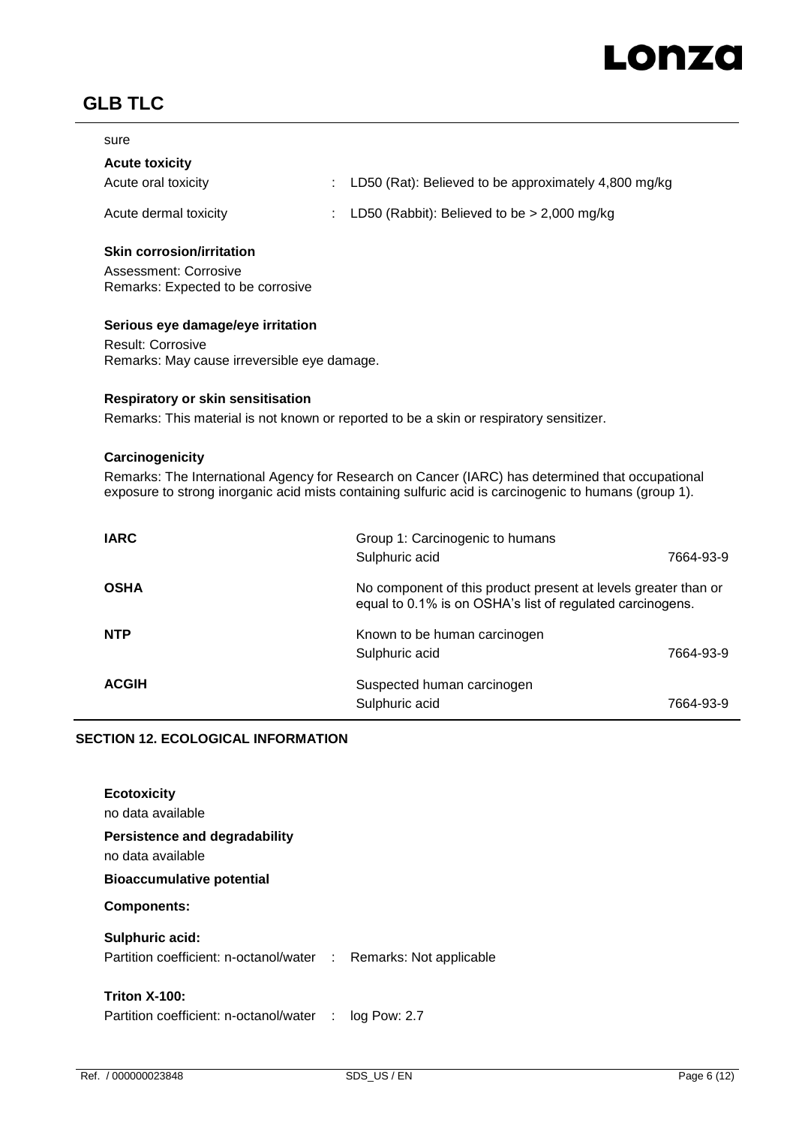

| ۰.<br>۰.<br>$-$<br>- |  |
|----------------------|--|
|----------------------|--|

# **Acute toxicity**

| Acute oral toxicity | : LD50 (Rat): Believed to be approximately 4,800 mg/kg |
|---------------------|--------------------------------------------------------|
|---------------------|--------------------------------------------------------|

Acute dermal toxicity : LD50 (Rabbit): Believed to be > 2,000 mg/kg

## **Skin corrosion/irritation**

Assessment: Corrosive Remarks: Expected to be corrosive

## **Serious eye damage/eye irritation**

Result: Corrosive Remarks: May cause irreversible eye damage.

#### **Respiratory or skin sensitisation**

Remarks: This material is not known or reported to be a skin or respiratory sensitizer.

#### **Carcinogenicity**

Remarks: The International Agency for Research on Cancer (IARC) has determined that occupational exposure to strong inorganic acid mists containing sulfuric acid is carcinogenic to humans (group 1).

| <b>IARC</b>  | Group 1: Carcinogenic to humans                                                                                             |           |
|--------------|-----------------------------------------------------------------------------------------------------------------------------|-----------|
|              | Sulphuric acid                                                                                                              | 7664-93-9 |
| <b>OSHA</b>  | No component of this product present at levels greater than or<br>equal to 0.1% is on OSHA's list of regulated carcinogens. |           |
| <b>NTP</b>   | Known to be human carcinogen                                                                                                |           |
|              | Sulphuric acid                                                                                                              | 7664-93-9 |
| <b>ACGIH</b> | Suspected human carcinogen                                                                                                  |           |
|              | Sulphuric acid                                                                                                              | 7664-93-9 |

# **SECTION 12. ECOLOGICAL INFORMATION**

| <b>Ecotoxicity</b><br>no data available                                             |  |
|-------------------------------------------------------------------------------------|--|
| Persistence and degradability<br>no data available                                  |  |
| <b>Bioaccumulative potential</b>                                                    |  |
| <b>Components:</b>                                                                  |  |
| Sulphuric acid:<br>Partition coefficient: n-octanol/water : Remarks: Not applicable |  |
| <b>Triton X-100:</b><br>Partition coefficient: n-octanol/water : log Pow: 2.7       |  |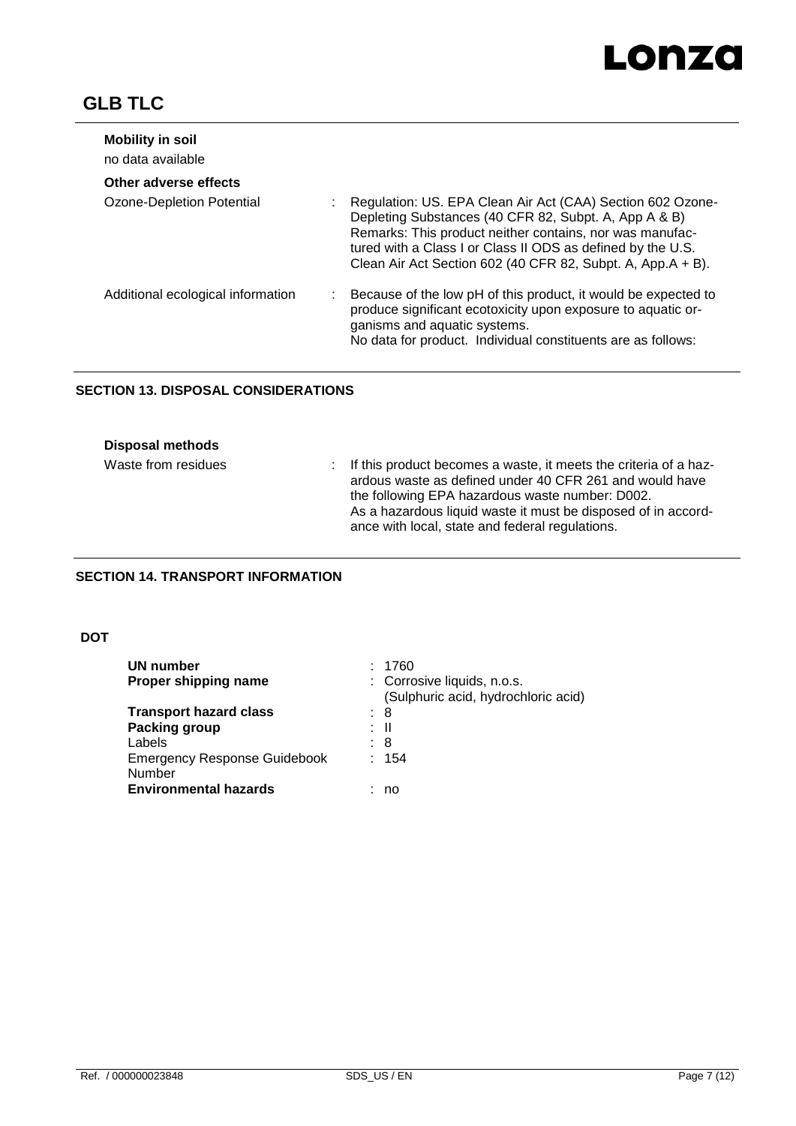

| <b>Mobility in soil</b><br>no data available |                                                                                                                                                                                                                                                                                                               |
|----------------------------------------------|---------------------------------------------------------------------------------------------------------------------------------------------------------------------------------------------------------------------------------------------------------------------------------------------------------------|
| Other adverse effects                        |                                                                                                                                                                                                                                                                                                               |
| Ozone-Depletion Potential                    | Regulation: US. EPA Clean Air Act (CAA) Section 602 Ozone-<br>Depleting Substances (40 CFR 82, Subpt. A, App A & B)<br>Remarks: This product neither contains, nor was manufac-<br>tured with a Class I or Class II ODS as defined by the U.S.<br>Clean Air Act Section 602 (40 CFR 82, Subpt. A, App.A + B). |
| Additional ecological information            | Because of the low pH of this product, it would be expected to<br>produce significant ecotoxicity upon exposure to aquatic or-<br>ganisms and aquatic systems.<br>No data for product. Individual constituents are as follows:                                                                                |

# **SECTION 13. DISPOSAL CONSIDERATIONS**

|  | <b>Disposal methods</b> |
|--|-------------------------|
|--|-------------------------|

| Waste from residues | : If this product becomes a waste, it meets the criteria of a haz-<br>ardous waste as defined under 40 CFR 261 and would have<br>the following EPA hazardous waste number: D002.<br>As a hazardous liquid waste it must be disposed of in accord- |
|---------------------|---------------------------------------------------------------------------------------------------------------------------------------------------------------------------------------------------------------------------------------------------|
|                     | ance with local, state and federal regulations.                                                                                                                                                                                                   |

# **SECTION 14. TRANSPORT INFORMATION**

# **DOT**

| UN number                                     |      | 1760                                                               |
|-----------------------------------------------|------|--------------------------------------------------------------------|
| Proper shipping name                          |      | : Corrosive liquids, n.o.s.<br>(Sulphuric acid, hydrochloric acid) |
| <b>Transport hazard class</b>                 | : 8  |                                                                    |
| Packing group                                 | : II |                                                                    |
| Labels                                        | : 8  |                                                                    |
| <b>Emergency Response Guidebook</b><br>Number |      | : 154                                                              |
| <b>Environmental hazards</b>                  |      | no                                                                 |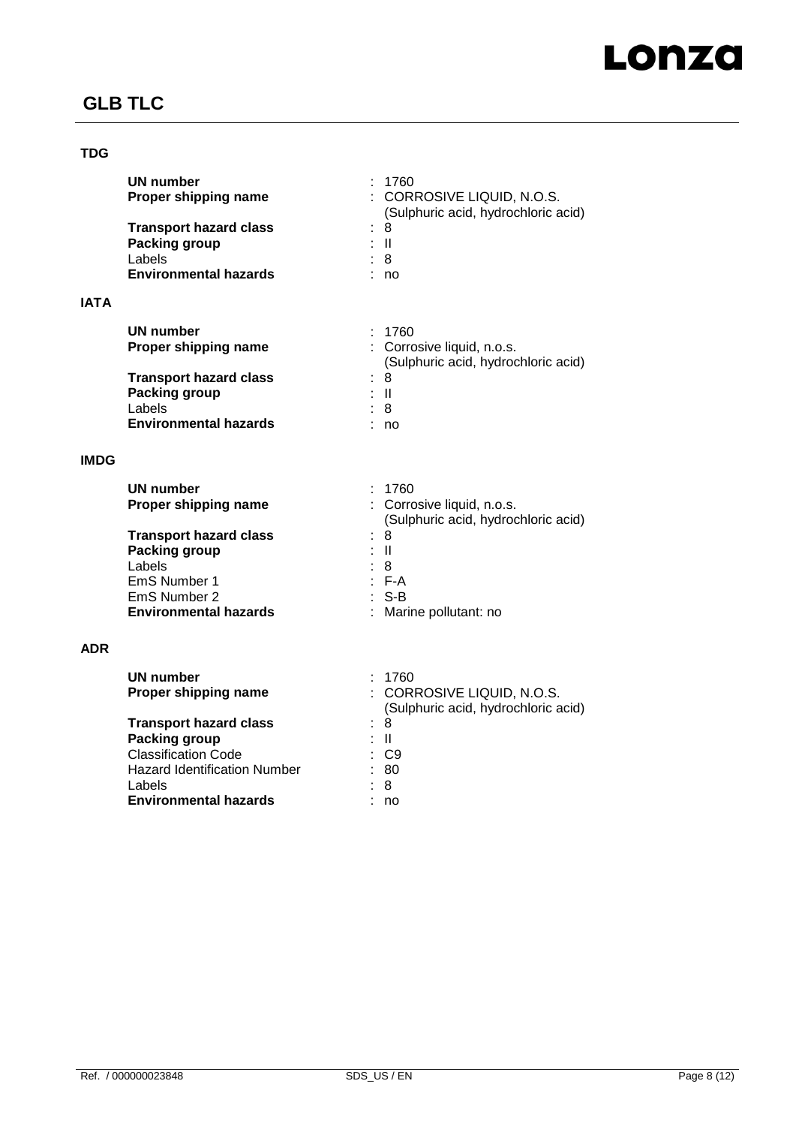

# **TDG**

| UN number<br>Proper shipping name | 1760<br>: CORROSIVE LIQUID, N.O.S.<br>(Sulphuric acid, hydrochloric acid) |
|-----------------------------------|---------------------------------------------------------------------------|
| <b>Transport hazard class</b>     | : 8                                                                       |
| Packing group                     | ÷Ш                                                                        |
| Labels                            | : 8                                                                       |
| <b>Environmental hazards</b>      | no                                                                        |
|                                   |                                                                           |
|                                   |                                                                           |

# **IATA**

| UN number                     | : 1760                              |
|-------------------------------|-------------------------------------|
| Proper shipping name          | : Corrosive liquid, n.o.s.          |
|                               | (Sulphuric acid, hydrochloric acid) |
| <b>Transport hazard class</b> | : 8                                 |
| Packing group                 | : II                                |
| Labels                        | : 8                                 |
| <b>Environmental hazards</b>  | no                                  |

# **IMDG**

| <b>UN number</b>              | : 1760                              |
|-------------------------------|-------------------------------------|
| Proper shipping name          | : Corrosive liquid, n.o.s.          |
|                               | (Sulphuric acid, hydrochloric acid) |
| <b>Transport hazard class</b> | : 8                                 |
| Packing group                 | : II                                |
| Labels                        | : 8                                 |
| EmS Number 1                  | $F-A$                               |
| EmS Number 2                  | : S-B                               |
| <b>Environmental hazards</b>  | : Marine pollutant: no              |

# **ADR**

| UN number<br>Proper shipping name   | 1760<br>: CORROSIVE LIQUID, N.O.S.<br>(Sulphuric acid, hydrochloric acid) |
|-------------------------------------|---------------------------------------------------------------------------|
| <b>Transport hazard class</b>       | : 8                                                                       |
| <b>Packing group</b>                | : II                                                                      |
| <b>Classification Code</b>          | : C9                                                                      |
| <b>Hazard Identification Number</b> | : 80                                                                      |
| Labels                              | : 8                                                                       |
| <b>Environmental hazards</b>        | no                                                                        |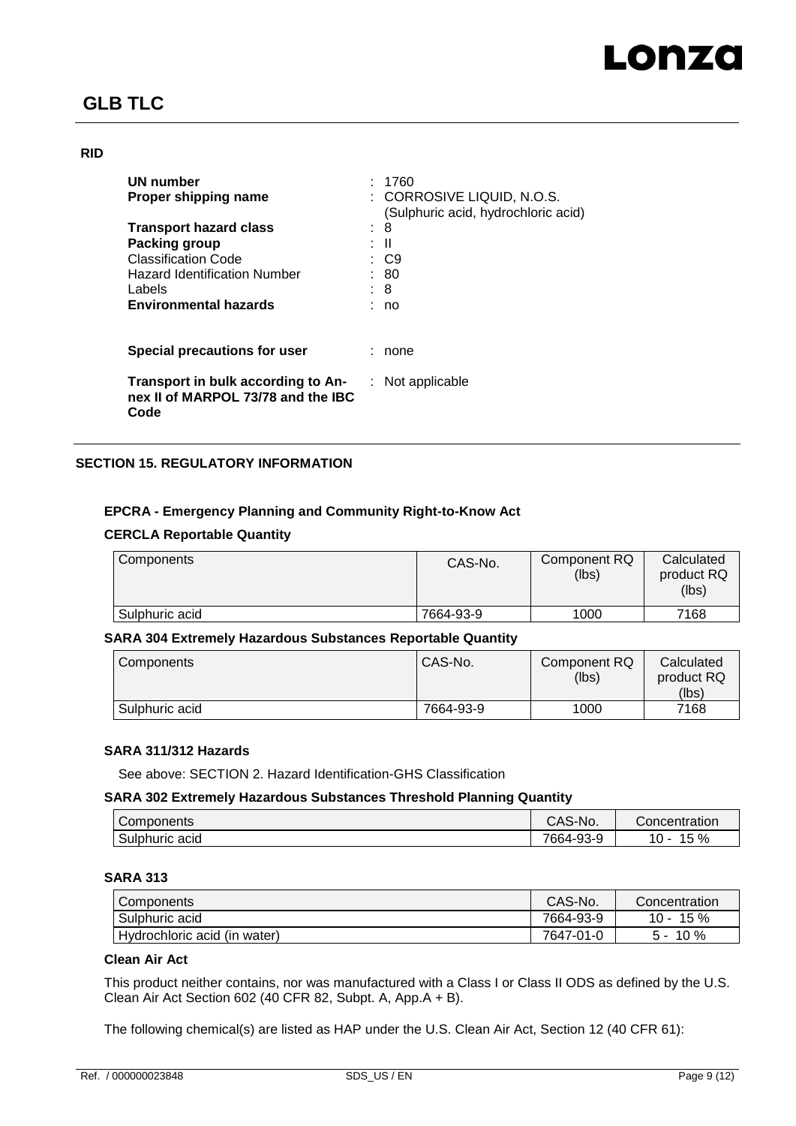## **RID**

| UN number                                                                        |    | : 1760                                                            |
|----------------------------------------------------------------------------------|----|-------------------------------------------------------------------|
| Proper shipping name                                                             |    | : CORROSIVE LIQUID, N.O.S.<br>(Sulphuric acid, hydrochloric acid) |
| <b>Transport hazard class</b>                                                    | t. | 8                                                                 |
| Packing group                                                                    |    | : II                                                              |
| <b>Classification Code</b>                                                       |    | : C9                                                              |
| <b>Hazard Identification Number</b>                                              |    | : 80                                                              |
| Labels                                                                           |    | : 8                                                               |
| <b>Environmental hazards</b>                                                     |    | no                                                                |
|                                                                                  |    |                                                                   |
| Special precautions for user                                                     |    | none                                                              |
| Transport in bulk according to An-<br>nex II of MARPOL 73/78 and the IBC<br>Code |    | $:$ Not applicable                                                |

# **SECTION 15. REGULATORY INFORMATION**

# **EPCRA - Emergency Planning and Community Right-to-Know Act**

## **CERCLA Reportable Quantity**

| Components     | CAS-No.   | Component RQ<br>(lbs) | Calculated<br>product RQ<br>(lbs) |
|----------------|-----------|-----------------------|-----------------------------------|
| Sulphuric acid | 7664-93-9 | 1000                  | 7168                              |

# **SARA 304 Extremely Hazardous Substances Reportable Quantity**

| Components     | CAS-No.   | Component RQ<br>(lbs) | Calculated<br>product RQ<br>(lbs) |
|----------------|-----------|-----------------------|-----------------------------------|
| Sulphuric acid | 7664-93-9 | 1000                  | 7168                              |

#### **SARA 311/312 Hazards**

See above: SECTION 2. Hazard Identification-GHS Classification

# **SARA 302 Extremely Hazardous Substances Threshold Planning Quantity**

| -<br>Components   | CAS-No.   | Concentration                             |
|-------------------|-----------|-------------------------------------------|
| Sulphuric<br>acıd | 7664-93-9 | $\overline{\phantom{0}}$<br>%<br>10<br>15 |

# **SARA 313**

| Components                   | CAS-No.   | Concentration |
|------------------------------|-----------|---------------|
| Sulphuric acid               | 7664-93-9 | 15 %<br>10 -  |
| Hydrochloric acid (in water) | 7647-01-0 | 10%<br>∽      |

# **Clean Air Act**

This product neither contains, nor was manufactured with a Class I or Class II ODS as defined by the U.S. Clean Air Act Section 602 (40 CFR 82, Subpt. A, App.A + B).

The following chemical(s) are listed as HAP under the U.S. Clean Air Act, Section 12 (40 CFR 61):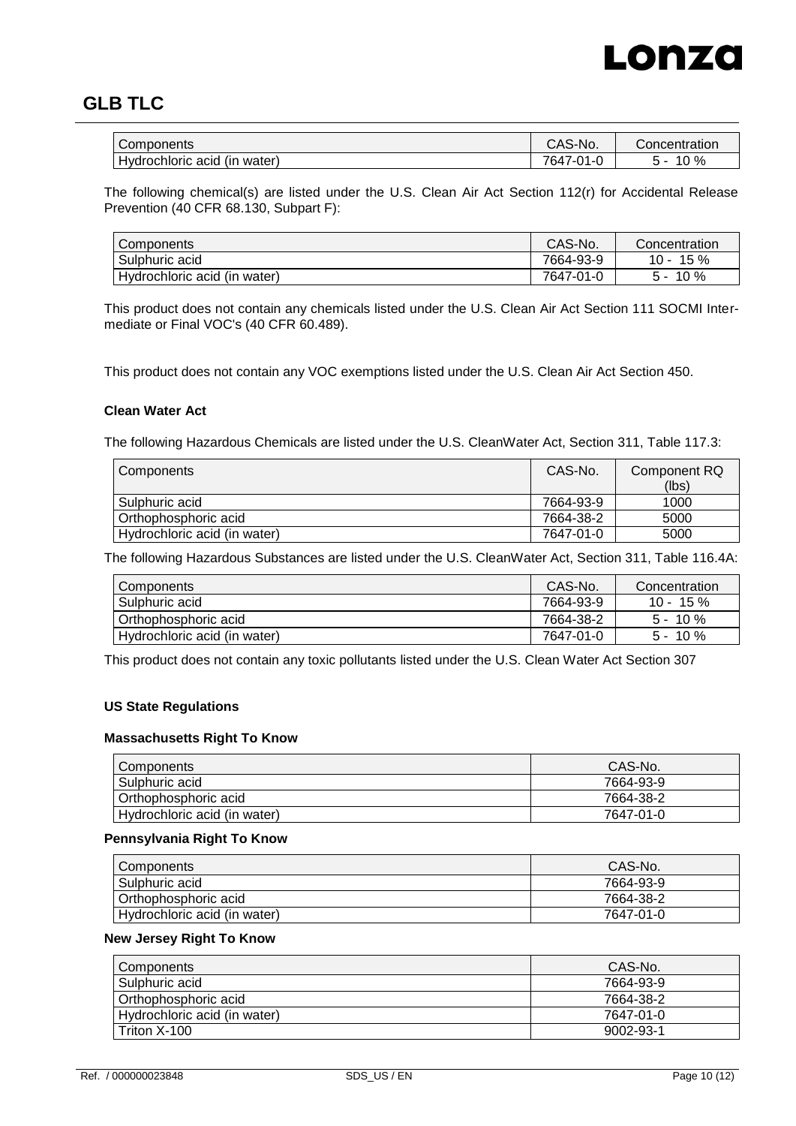

| Components                          | CAS-No.              | Concentration |
|-------------------------------------|----------------------|---------------|
| <br>Hydrochloric acid<br>(in water) | 764,<br>ົາ1-ບ<br>. н | $0\%$         |

The following chemical(s) are listed under the U.S. Clean Air Act Section 112(r) for Accidental Release Prevention (40 CFR 68.130, Subpart F):

| I Components                 | CAS-No.   | Concentration |
|------------------------------|-----------|---------------|
| Sulphuric acid               | 7664-93-9 | 15%<br>$10 -$ |
| Hydrochloric acid (in water) | 7647-01-0 | $10\%$<br>. - |

This product does not contain any chemicals listed under the U.S. Clean Air Act Section 111 SOCMI Intermediate or Final VOC's (40 CFR 60.489).

This product does not contain any VOC exemptions listed under the U.S. Clean Air Act Section 450.

## **Clean Water Act**

The following Hazardous Chemicals are listed under the U.S. CleanWater Act, Section 311, Table 117.3:

| Components                   | CAS-No.   | Component RQ |
|------------------------------|-----------|--------------|
|                              |           | (lbs)        |
| Sulphuric acid               | 7664-93-9 | 1000         |
| Orthophosphoric acid         | 7664-38-2 | 5000         |
| Hydrochloric acid (in water) | 7647-01-0 | 5000         |

The following Hazardous Substances are listed under the U.S. CleanWater Act, Section 311, Table 116.4A:

| Components                   | CAS-No.   | Concentration |
|------------------------------|-----------|---------------|
| Sulphuric acid               | 7664-93-9 | $10 - 15 \%$  |
| Orthophosphoric acid         | 7664-38-2 | $5 - 10 \%$   |
| Hydrochloric acid (in water) | 7647-01-0 | $5 - 10 \%$   |

This product does not contain any toxic pollutants listed under the U.S. Clean Water Act Section 307

#### **US State Regulations**

#### **Massachusetts Right To Know**

| Components                   | CAS-No.   |
|------------------------------|-----------|
| Sulphuric acid               | 7664-93-9 |
| l Orthophosphoric acid       | 7664-38-2 |
| Hydrochloric acid (in water) | 7647-01-0 |

## **Pennsylvania Right To Know**

| Components                   | CAS-No.   |
|------------------------------|-----------|
| Sulphuric acid               | 7664-93-9 |
| l Orthophosphoric acid       | 7664-38-2 |
| Hydrochloric acid (in water) | 7647-01-0 |

#### **New Jersey Right To Know**

| <b>Components</b>            | CAS-No.   |
|------------------------------|-----------|
| Sulphuric acid               | 7664-93-9 |
| l Orthophosphoric acid       | 7664-38-2 |
| Hydrochloric acid (in water) | 7647-01-0 |
| Triton X-100                 | 9002-93-1 |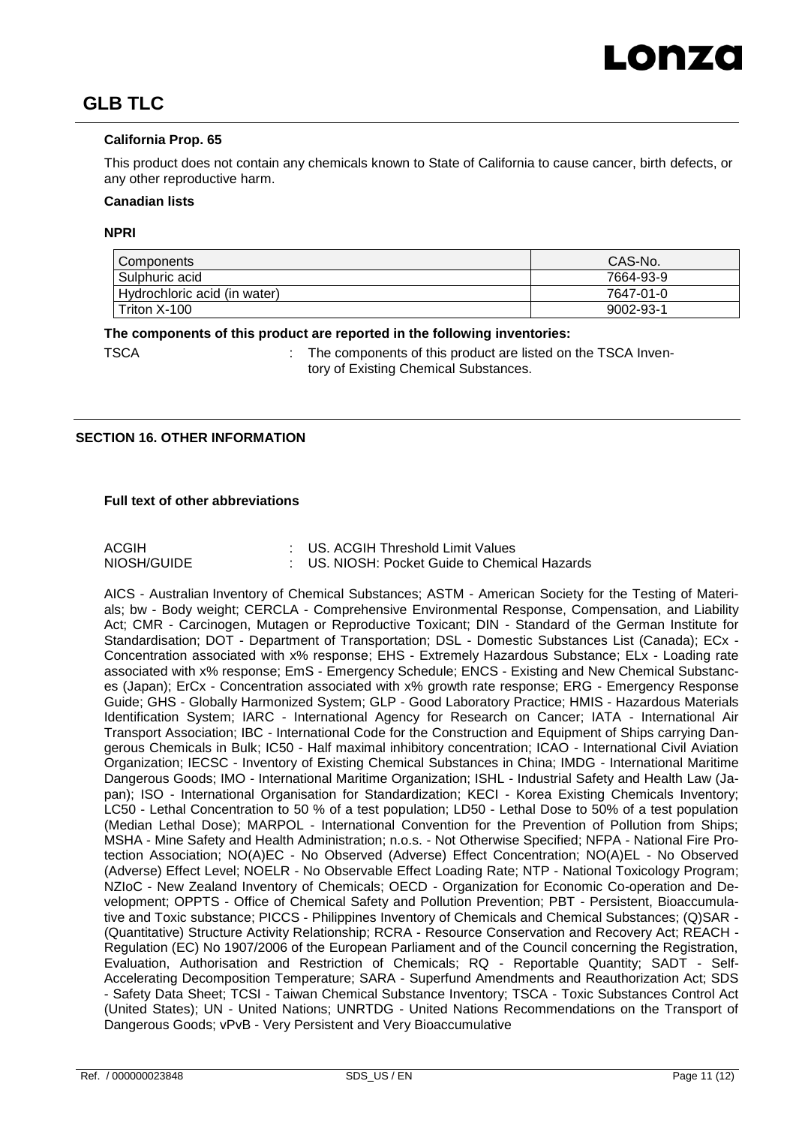## **California Prop. 65**

This product does not contain any chemicals known to State of California to cause cancer, birth defects, or any other reproductive harm.

## **Canadian lists**

#### **NPRI**

| Components                   | CAS-No.   |
|------------------------------|-----------|
| Sulphuric acid               | 7664-93-9 |
| Hydrochloric acid (in water) | 7647-01-0 |
| Triton X-100                 | 9002-93-1 |

#### **The components of this product are reported in the following inventories:**

TSCA **:** The components of this product are listed on the TSCA Inventory of Existing Chemical Substances.

## **SECTION 16. OTHER INFORMATION**

## **Full text of other abbreviations**

| <b>ACGIH</b> | : US. ACGIH Threshold Limit Values            |
|--------------|-----------------------------------------------|
| NIOSH/GUIDE  | : US. NIOSH: Pocket Guide to Chemical Hazards |

AICS - Australian Inventory of Chemical Substances; ASTM - American Society for the Testing of Materials; bw - Body weight; CERCLA - Comprehensive Environmental Response, Compensation, and Liability Act; CMR - Carcinogen, Mutagen or Reproductive Toxicant; DIN - Standard of the German Institute for Standardisation; DOT - Department of Transportation; DSL - Domestic Substances List (Canada); ECx - Concentration associated with x% response; EHS - Extremely Hazardous Substance; ELx - Loading rate associated with x% response; EmS - Emergency Schedule; ENCS - Existing and New Chemical Substances (Japan); ErCx - Concentration associated with x% growth rate response; ERG - Emergency Response Guide; GHS - Globally Harmonized System; GLP - Good Laboratory Practice; HMIS - Hazardous Materials Identification System; IARC - International Agency for Research on Cancer; IATA - International Air Transport Association; IBC - International Code for the Construction and Equipment of Ships carrying Dangerous Chemicals in Bulk; IC50 - Half maximal inhibitory concentration; ICAO - International Civil Aviation Organization; IECSC - Inventory of Existing Chemical Substances in China; IMDG - International Maritime Dangerous Goods; IMO - International Maritime Organization; ISHL - Industrial Safety and Health Law (Japan); ISO - International Organisation for Standardization; KECI - Korea Existing Chemicals Inventory; LC50 - Lethal Concentration to 50 % of a test population; LD50 - Lethal Dose to 50% of a test population (Median Lethal Dose); MARPOL - International Convention for the Prevention of Pollution from Ships; MSHA - Mine Safety and Health Administration; n.o.s. - Not Otherwise Specified; NFPA - National Fire Protection Association; NO(A)EC - No Observed (Adverse) Effect Concentration; NO(A)EL - No Observed (Adverse) Effect Level; NOELR - No Observable Effect Loading Rate; NTP - National Toxicology Program; NZIoC - New Zealand Inventory of Chemicals; OECD - Organization for Economic Co-operation and Development; OPPTS - Office of Chemical Safety and Pollution Prevention; PBT - Persistent, Bioaccumulative and Toxic substance; PICCS - Philippines Inventory of Chemicals and Chemical Substances; (Q)SAR - (Quantitative) Structure Activity Relationship; RCRA - Resource Conservation and Recovery Act; REACH - Regulation (EC) No 1907/2006 of the European Parliament and of the Council concerning the Registration, Evaluation, Authorisation and Restriction of Chemicals; RQ - Reportable Quantity; SADT - Self-Accelerating Decomposition Temperature; SARA - Superfund Amendments and Reauthorization Act; SDS - Safety Data Sheet; TCSI - Taiwan Chemical Substance Inventory; TSCA - Toxic Substances Control Act (United States); UN - United Nations; UNRTDG - United Nations Recommendations on the Transport of Dangerous Goods; vPvB - Very Persistent and Very Bioaccumulative